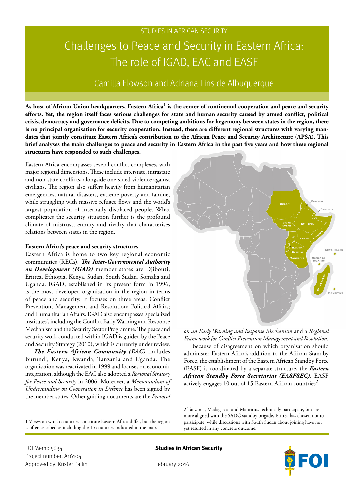# Challenges to Peace and Security in Eastern Africa: The role of IGAD, EAC and EASF

# Camilla Elowson and Adriana Lins de Albuquerque

**As host of African Union headquarters, Eastern Africa<sup>1</sup> is the center of continental cooperation and peace and security efforts. Yet, the region itself faces serious challenges for state and human security caused by armed conflict, political crisis, democracy and governance deficits. Due to competing ambitions for hegemony between states in the region, there is no principal organisation for security cooperation. Instead, there are different regional structures with varying mandates that jointly constitute Eastern Africa's contribution to the African Peace and Security Architecture (APSA). This brief analyses the main challenges to peace and security in Eastern Africa in the past five years and how these regional structures have responded to such challenges.**

Eastern Africa encompasses several conflict complexes, with major regional dimensions. These include interstate, intrastate and non-state conflicts, alongside one-sided violence against civilians. The region also suffers heavily from humanitarian emergencies, natural disasters, extreme poverty and famine, while struggling with massive refugee flows and the world's largest population of internally displaced people. What complicates the security situation further is the profound climate of mistrust, enmity and rivalry that characterises relations between states in the region.

#### **Eastern Africa's peace and security structures**

Eastern Africa is home to two key regional economic communities (RECs). *The Inter-Governmental Authority on Development (IGAD)* member states are Djibouti, Eritrea, Ethiopia, Kenya, Sudan, South Sudan, Somalia and Uganda. IGAD, established in its present form in 1996, is the most developed organisation in the region in terms of peace and security. It focuses on three areas: Conflict Prevention, Management and Resolution; Political Affairs; and Humanitarian Affairs. IGAD also encompasses 'specialized institutes', including the Conflict Early Warning and Response Mechanism and the Security Sector Programme. The peace and security work conducted within IGAD is guided by the Peace and Security Strategy (2010), which is currently under review.

*The Eastern African Community (EAC)* includes Burundi, Kenya, Rwanda, Tanzania and Uganda. The organisation was reactivated in 1999 and focuses on economic integration, although the EAC also adopted a *Regional Strategy for Peace and Security* in 2006. Moreover, a *Memorandum of Understanding on Cooperation in Defence* has been signed by the member states. Other guiding documents are the *Protocol* 

1 Views on which countries constitute Eastern Africa differ, but the region is often ascribed as including the 15 countries indicated in the map.

*on an Early Warning and Response Mechanism* and a *Regional Framework for Conflict Prevention Management and Resolution.*

Because of disagreement on which organisation should administer Eastern Africa's addition to the African Standby Force, the establishment of the Eastern African Standby Force (EASF) is coordinated by a separate structure, the *Eastern African Standby Force Secretariat (EASFSEC)*. EASF actively engages 10 out of 15 Eastern African countries<sup>2</sup>.

FOI Memo 5634 **Studies in African Security**



Project number: A16104 Approved by: Krister Pallin February 2016

<sup>2</sup> Tanzania, Madagascar and Mauritius technically participate, but are more aligned with the SADC standby brigade. Eritrea has chosen not to participate, while discussions with South Sudan about joining have not yet resulted in any concrete outcome.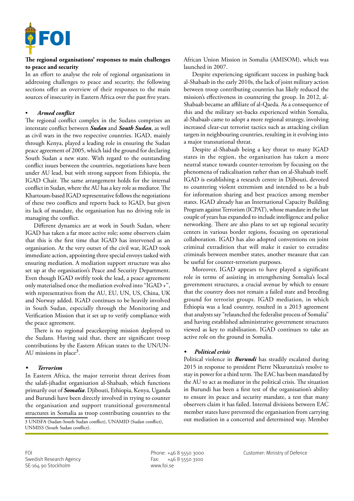

#### **The regional organisations' responses to main challenges to peace and security**

In an effort to analyse the role of regional organisations in addressing challenges to peace and security, the following sections offer an overview of their responses to the main sources of insecurity in Eastern Africa over the past five years.

#### • *Armed conflict*

The regional conflict complex in the Sudans comprises an interstate conflict between *Sudan* and *South Sudan*, as well as civil wars in the two respective countries. IGAD, mainly through Kenya, played a leading role in ensuring the Sudan peace agreement of 2005, which laid the ground for declaring South Sudan a new state. With regard to the outstanding conflict issues between the countries, negotiations have been under AU lead, but with strong support from Ethiopia, the IGAD Chair. The same arrangement holds for the internal conflict in Sudan, where the AU has a key role as mediator. The Khartoum-based IGAD representative follows the negotiations of these two conflicts and reports back to IGAD, but given its lack of mandate, the organisation has no driving role in managing the conflict.

Different dynamics are at work in South Sudan, where IGAD has taken a far more active role; some observers claim that this is the first time that IGAD has intervened as an organisation. At the very outset of the civil war, IGAD took immediate action, appointing three special envoys tasked with ensuring mediation. A mediation support structure was also set up at the organisation's Peace and Security Department. Even though IGAD swiftly took the lead, a peace agreement only materialised once the mediation evolved into "IGAD +", with representatives from the AU, EU, UN, US, China, UK and Norway added. IGAD continues to be heavily involved in South Sudan, especially through the Monitoring and Verification Mission that it set up to verify compliance with the peace agreement.

There is no regional peacekeeping mission deployed to the Sudans. Having said that, there are significant troop contributions by the Eastern African states to the UN/UN-AU missions in place<sup>3</sup>.

### *• Terrorism*

In Eastern Africa, the major terrorist threat derives from the salafi-jihadist organisation al-Shabaab, which functions primarily out of *Somalia*. Djibouti, Ethiopia, Kenya, Uganda and Burundi have been directly involved in trying to counter the organisation and support transitional governmental structures in Somalia as troop contributing countries to the

3 UNISFA (Sudan-South Sudan conflict), UNAMID (Sudan conflict), UNMISS (South Sudan conflict).

African Union Mission in Somalia (AMISOM), which was launched in 2007.

Despite experiencing significant success in pushing back al-Shabaab in the early 2010s, the lack of joint military action between troop contributing countries has likely reduced the mission's effectiveness in countering the group. In 2012, al-Shabaab became an affiliate of al-Qaeda. As a consequence of this and the military set-backs experienced within Somalia, al-Shabaab came to adopt a more regional strategy, involving increased clear-cut terrorist tactics such as attacking civilian targets in neighbouring countries, resulting in it evolving into a major transnational threat.

Despite al-Shabaab being a key threat to many IGAD states in the region, the organisation has taken a more neutral stance towards counter-terrorism by focusing on the phenomena of radicalisation rather than on al-Shabaab itself. IGAD is establishing a research centre in Djibouti, devoted to countering violent extremism and intended to be a hub for information sharing and best practices among member states. IGAD already has an International Capacity Building Program against Terrorism (ICPAT), whose mandate in the last couple of years has expanded to include intelligence and police networking. There are also plans to set up regional security centers in various border regions, focusing on operational collaboration. IGAD has also adopted conventions on joint criminal extradition that will make it easier to extradite criminals between member states, another measure that can be useful for counter-terrorism purposes.

Moreover, IGAD appears to have played a significant role in terms of assisting in strengthening Somalia's local government structures, a crucial avenue by which to ensure that the country does not remain a failed state and breeding ground for terrorist groups. IGAD mediation, in which Ethiopia was a lead country, resulted in a 2013 agreement that analysts say "relaunched the federalist process of Somalia" and having established administrative government structures viewed as key to stabilisation. IGAD continues to take an active role on the ground in Somalia.

# *• Political crisis*

Political violence in *Burundi* has steadily escalated during 2015 in response to president Pierre Nkurunziza's resolve to stay in power for a third term. The EAC has been mandated by the AU to act as mediator in the political crisis. The situation in Burundi has been a first test of the organisation's ability to ensure its peace and security mandate, a test that many observers claim it has failed. Internal divisions between EAC member states have prevented the organisation from carrying out mediation in a concerted and determined way. Member

Swedish Research Agency Fax: +46 8 5550 3100 SE-164 90 Stockholm www.foi.se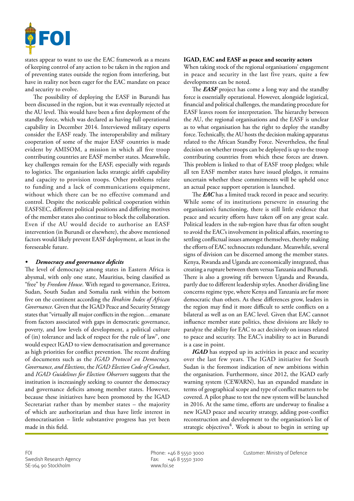

states appear to want to use the EAC framework as a means of keeping control of any action to be taken in the region and of preventing states outside the region from interfering, but have in reality not been eager for the EAC mandate on peace and security to evolve.

The possibility of deploying the EASF in Burundi has been discussed in the region, but it was eventually rejected at the AU level. This would have been a first deployment of the standby force, which was declared as having full operational capability in December 2014. Interviewed military experts consider the EASF ready. The interoperability and military cooperation of some of the major EASF countries is made evident by AMISOM, a mission in which all five troop contributing countries are EASF member states. Meanwhile, key challenges remain for the EASF, especially with regards to logistics. The organisation lacks strategic airlift capability and capacity to provision troops. Other problems relate to funding and a lack of communications equipment, without which there can be no effective command and control. Despite the noticeable political cooperation within EASFSEC, different political positions and differing motives of the member states also continue to block the collaboration. Even if the AU would decide to authorise an EASF intervention (in Burundi or elsewhere), the above mentioned factors would likely prevent EASF deployment, at least in the foreseeable future.

#### *• Democracy and governance deficits*

The level of democracy among states in Eastern Africa is abysmal, with only one state, Mauritius, being classified as "free" by *Freedom House*. With regard to governance, Eritrea, Sudan, South Sudan and Somalia rank within the bottom five on the continent according the *Ibrahim Index of African Governance*. Given that the IGAD Peace and Security Strategy states that "virtually all major conflicts in the region…emanate from factors associated with gaps in democratic governance, poverty, and low levels of development, a political culture of (in) tolerance and lack of respect for the rule of law", one would expect IGAD to view democratisation and governance as high priorities for conflict prevention. The recent drafting of documents such as the *IGAD Protocol on Democracy, Governance, and Elections*, the *IGAD Election Code of Conduct*, and *IGAD Guidelines for Election Observers* suggests that the institution is increasingly seeking to counter the democracy and governance deficits among member states. However, because these initiatives have been promoted by the IGAD Secretariat rather than by member states – the majority of which are authoritarian and thus have little interest in democratisation – little substantive progress has yet been made in this field.

## **IGAD, EAC and EASF as peace and security actors**

When taking stock of the regional organisations' engagement in peace and security in the last five years, quite a few developments can be noted.

The *EASF* project has come a long way and the standby force is essentially operational. However, alongside logistical, financial and political challenges, the mandating procedure for EASF leaves room for interpretation. The hierarchy between the AU, the regional organisations and the EASF is unclear as to what organisation has the right to deploy the standby force. Technically, the AU hosts the decision making apparatus related to the African Standby Force. Nevertheless, the final decision on whether troops can be deployed is up to the troop contributing countries from which these forces are drawn. This problem is linked to that of EASF troop pledges; while all ten EASF member states have issued pledges, it remains uncertain whether these commitments will be upheld once an actual peace support operation is launched.

The *EAC* has a limited track record in peace and security. While some of its institutions persevere in ensuring the organisation's functioning, there is still little evidence that peace and security efforts have taken off on any great scale. Political leaders in the sub-region have thus far often sought to avoid the EAC's involvement in political affairs, resorting to settling conflictual issues amongst themselves, thereby making the efforts of EAC technocrats redundant. Meanwhile, several signs of division can be discerned among the member states. Kenya, Rwanda and Uganda are economically integrated, thus creating a rupture between them versus Tanzania and Burundi. There is also a growing rift between Uganda and Rwanda, partly due to different leadership styles. Another dividing line concerns regime type, where Kenya and Tanzania are far more democratic than others. As these differences grow, leaders in the region may find it more difficult to settle conflicts on a bilateral as well as on an EAC level. Given that EAC cannot influence member state politics, these divisions are likely to paralyze the ability for EAC to act decisively on issues related to peace and security. The EAC's inability to act in Burundi is a case in point.

*IGAD* has stepped up its activities in peace and security over the last few years. The IGAD initiative for South Sudan is the foremost indication of new ambitions within the organisation. Furthermore, since 2012, the IGAD early warning system (CEWARN), has an expanded mandate in terms of geographical scope and type of conflict matters to be covered. A pilot phase to test the new system will be launched in 2016. At the same time, efforts are underway to finalise a new IGAD peace and security strategy, adding post-conflict reconstruction and development to the organisation's list of strategic objectives<sup>4</sup>. Work is about to begin in setting up